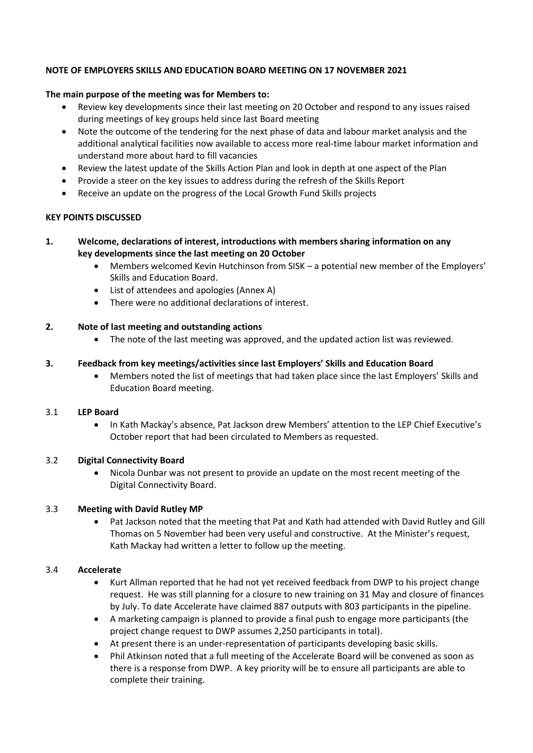## **NOTE OF EMPLOYERS SKILLS AND EDUCATION BOARD MEETING ON 17 NOVEMBER 2021**

## **The main purpose of the meeting was for Members to:**

- Review key developments since their last meeting on 20 October and respond to any issues raised during meetings of key groups held since last Board meeting
- Note the outcome of the tendering for the next phase of data and labour market analysis and the additional analytical facilities now available to access more real-time labour market information and understand more about hard to fill vacancies
- Review the latest update of the Skills Action Plan and look in depth at one aspect of the Plan
- Provide a steer on the key issues to address during the refresh of the Skills Report
- Receive an update on the progress of the Local Growth Fund Skills projects

#### **KEY POINTS DISCUSSED**

## **1. Welcome, declarations of interest, introductions with members sharing information on any key developments since the last meeting on 20 October**

- Members welcomed Kevin Hutchinson from SISK a potential new member of the Employers' Skills and Education Board.
- List of attendees and apologies (Annex A)
- There were no additional declarations of interest.

## **2. Note of last meeting and outstanding actions**

• The note of the last meeting was approved, and the updated action list was reviewed.

#### **3. Feedback from key meetings/activities since last Employers' Skills and Education Board**

• Members noted the list of meetings that had taken place since the last Employers' Skills and Education Board meeting.

#### 3.1 **LEP Board**

• In Kath Mackay's absence, Pat Jackson drew Members' attention to the LEP Chief Executive's October report that had been circulated to Members as requested.

#### 3.2 **Digital Connectivity Board**

• Nicola Dunbar was not present to provide an update on the most recent meeting of the Digital Connectivity Board.

#### 3.3 **Meeting with David Rutley MP**

• Pat Jackson noted that the meeting that Pat and Kath had attended with David Rutley and Gill Thomas on 5 November had been very useful and constructive. At the Minister's request, Kath Mackay had written a letter to follow up the meeting.

#### 3.4 **Accelerate**

- Kurt Allman reported that he had not yet received feedback from DWP to his project change request. He was still planning for a closure to new training on 31 May and closure of finances by July. To date Accelerate have claimed 887 outputs with 803 participants in the pipeline.
- A marketing campaign is planned to provide a final push to engage more participants (the project change request to DWP assumes 2,250 participants in total).
- At present there is an under-representation of participants developing basic skills.
- Phil Atkinson noted that a full meeting of the Accelerate Board will be convened as soon as there is a response from DWP. A key priority will be to ensure all participants are able to complete their training.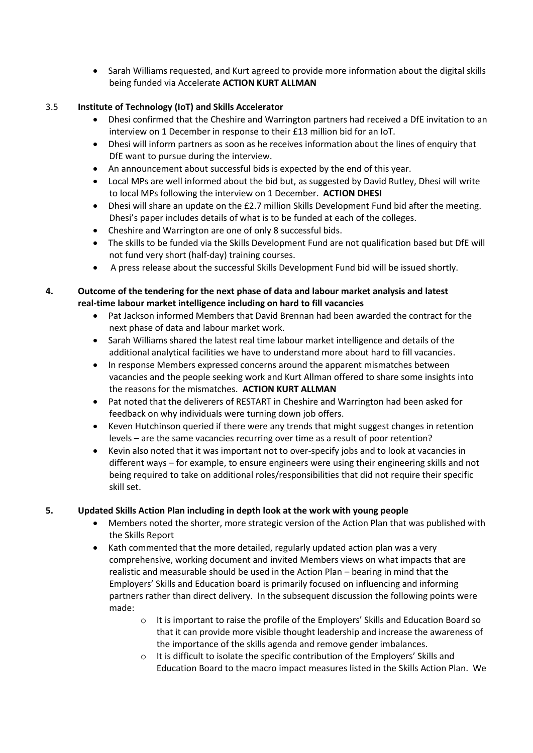• Sarah Williams requested, and Kurt agreed to provide more information about the digital skills being funded via Accelerate **ACTION KURT ALLMAN**

# 3.5 **Institute of Technology (IoT) and Skills Accelerator**

- Dhesi confirmed that the Cheshire and Warrington partners had received a DfE invitation to an interview on 1 December in response to their £13 million bid for an IoT.
- Dhesi will inform partners as soon as he receives information about the lines of enquiry that DfE want to pursue during the interview.
- An announcement about successful bids is expected by the end of this year.
- Local MPs are well informed about the bid but, as suggested by David Rutley, Dhesi will write to local MPs following the interview on 1 December. **ACTION DHESI**
- Dhesi will share an update on the £2.7 million Skills Development Fund bid after the meeting. Dhesi's paper includes details of what is to be funded at each of the colleges.
- Cheshire and Warrington are one of only 8 successful bids.
- The skills to be funded via the Skills Development Fund are not qualification based but DfE will not fund very short (half-day) training courses.
- A press release about the successful Skills Development Fund bid will be issued shortly.

# **4. Outcome of the tendering for the next phase of data and labour market analysis and latest real-time labour market intelligence including on hard to fill vacancies**

- Pat Jackson informed Members that David Brennan had been awarded the contract for the next phase of data and labour market work.
- Sarah Williams shared the latest real time labour market intelligence and details of the additional analytical facilities we have to understand more about hard to fill vacancies.
- In response Members expressed concerns around the apparent mismatches between vacancies and the people seeking work and Kurt Allman offered to share some insights into the reasons for the mismatches. **ACTION KURT ALLMAN**
- Pat noted that the deliverers of RESTART in Cheshire and Warrington had been asked for feedback on why individuals were turning down job offers.
- Keven Hutchinson queried if there were any trends that might suggest changes in retention levels – are the same vacancies recurring over time as a result of poor retention?
- Kevin also noted that it was important not to over-specify jobs and to look at vacancies in different ways – for example, to ensure engineers were using their engineering skills and not being required to take on additional roles/responsibilities that did not require their specific skill set.

# **5. Updated Skills Action Plan including in depth look at the work with young people**

- Members noted the shorter, more strategic version of the Action Plan that was published with the Skills Report
- Kath commented that the more detailed, regularly updated action plan was a very comprehensive, working document and invited Members views on what impacts that are realistic and measurable should be used in the Action Plan – bearing in mind that the Employers' Skills and Education board is primarily focused on influencing and informing partners rather than direct delivery. In the subsequent discussion the following points were made:
	- $\circ$  It is important to raise the profile of the Employers' Skills and Education Board so that it can provide more visible thought leadership and increase the awareness of the importance of the skills agenda and remove gender imbalances.
	- o It is difficult to isolate the specific contribution of the Employers' Skills and Education Board to the macro impact measures listed in the Skills Action Plan. We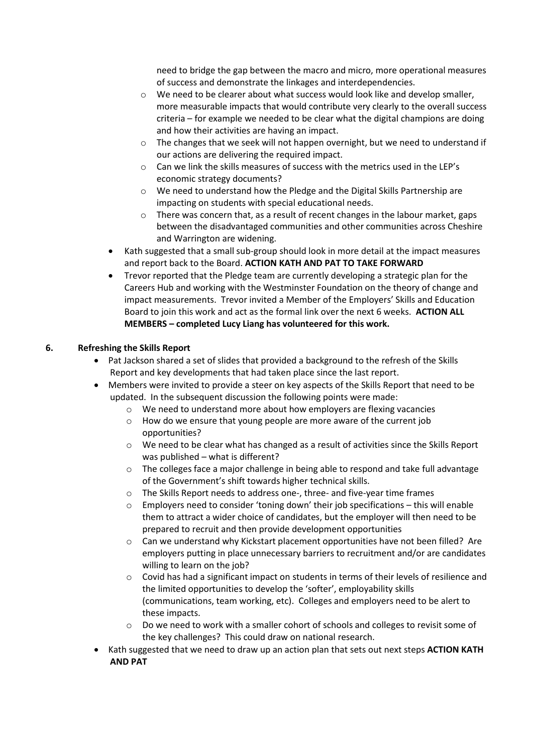need to bridge the gap between the macro and micro, more operational measures of success and demonstrate the linkages and interdependencies.

- $\circ$  We need to be clearer about what success would look like and develop smaller, more measurable impacts that would contribute very clearly to the overall success criteria – for example we needed to be clear what the digital champions are doing and how their activities are having an impact.
- $\circ$  The changes that we seek will not happen overnight, but we need to understand if our actions are delivering the required impact.
- o Can we link the skills measures of success with the metrics used in the LEP's economic strategy documents?
- o We need to understand how the Pledge and the Digital Skills Partnership are impacting on students with special educational needs.
- $\circ$  There was concern that, as a result of recent changes in the labour market, gaps between the disadvantaged communities and other communities across Cheshire and Warrington are widening.
- Kath suggested that a small sub-group should look in more detail at the impact measures and report back to the Board. **ACTION KATH AND PAT TO TAKE FORWARD**
- Trevor reported that the Pledge team are currently developing a strategic plan for the Careers Hub and working with the Westminster Foundation on the theory of change and impact measurements. Trevor invited a Member of the Employers' Skills and Education Board to join this work and act as the formal link over the next 6 weeks. **ACTION ALL MEMBERS – completed Lucy Liang has volunteered for this work.**

# **6. Refreshing the Skills Report**

- Pat Jackson shared a set of slides that provided a background to the refresh of the Skills Report and key developments that had taken place since the last report.
- Members were invited to provide a steer on key aspects of the Skills Report that need to be updated. In the subsequent discussion the following points were made:
	- $\circ$  We need to understand more about how employers are flexing vacancies
	- $\circ$  How do we ensure that young people are more aware of the current job opportunities?
	- o We need to be clear what has changed as a result of activities since the Skills Report was published – what is different?
	- $\circ$  The colleges face a major challenge in being able to respond and take full advantage of the Government's shift towards higher technical skills.
	- o The Skills Report needs to address one-, three- and five-year time frames
	- $\circ$  Employers need to consider 'toning down' their job specifications this will enable them to attract a wider choice of candidates, but the employer will then need to be prepared to recruit and then provide development opportunities
	- $\circ$  Can we understand why Kickstart placement opportunities have not been filled? Are employers putting in place unnecessary barriers to recruitment and/or are candidates willing to learn on the job?
	- $\circ$  Covid has had a significant impact on students in terms of their levels of resilience and the limited opportunities to develop the 'softer', employability skills (communications, team working, etc). Colleges and employers need to be alert to these impacts.
	- o Do we need to work with a smaller cohort of schools and colleges to revisit some of the key challenges? This could draw on national research.
- Kath suggested that we need to draw up an action plan that sets out next steps **ACTION KATH AND PAT**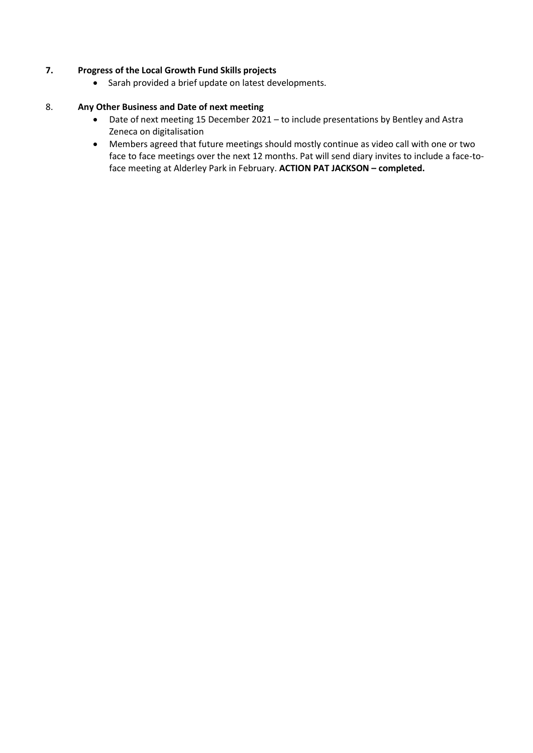# **7. Progress of the Local Growth Fund Skills projects**

• Sarah provided a brief update on latest developments.

## 8. **Any Other Business and Date of next meeting**

- Date of next meeting 15 December 2021 to include presentations by Bentley and Astra Zeneca on digitalisation
- Members agreed that future meetings should mostly continue as video call with one or two face to face meetings over the next 12 months. Pat will send diary invites to include a face-toface meeting at Alderley Park in February. **ACTION PAT JACKSON – completed.**